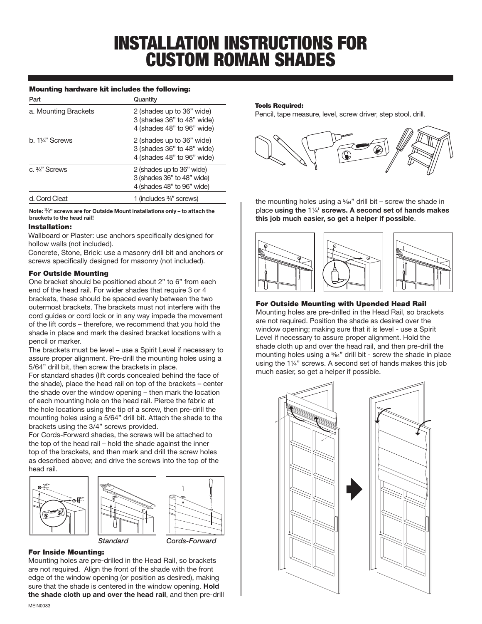# INSTALLATION INSTRUCTIONS FOR CUSTOM ROMAN SHADES

## Mounting hardware kit includes the following:

| Part                       | Quantity                                                                              |
|----------------------------|---------------------------------------------------------------------------------------|
| a. Mounting Brackets       | 2 (shades up to 36" wide)<br>3 (shades 36" to 48" wide)<br>4 (shades 48" to 96" wide) |
| b. $1\frac{1}{4}$ " Screws | 2 (shades up to 36" wide)<br>3 (shades 36" to 48" wide)<br>4 (shades 48" to 96" wide) |
| c. $\frac{3}{4}$ " Screws  | 2 (shades up to 36" wide)<br>3 (shades 36" to 48" wide)<br>4 (shades 48" to 96" wide) |
| d. Cord Cleat              | 1 (includes 3/4" screws)                                                              |

**Note:** 3/4**" screws are for Outside Mount installations only – to attach the brackets to the head rail!**

## Installation:

Wallboard or Plaster: use anchors specifically designed for hollow walls (not included).

Concrete, Stone, Brick: use a masonry drill bit and anchors or screws specifically designed for masonry (not included).

## For Outside Mounting

One bracket should be positioned about 2" to 6" from each end of the head rail. For wider shades that require 3 or 4 brackets, these should be spaced evenly between the two outermost brackets. The brackets must not interfere with the cord guides or cord lock or in any way impede the movement of the lift cords – therefore, we recommend that you hold the shade in place and mark the desired bracket locations with a pencil or marker.

The brackets must be level – use a Spirit Level if necessary to assure proper alignment. Pre-drill the mounting holes using a 5/64" drill bit, then screw the brackets in place.

For standard shades (lift cords concealed behind the face of the shade), place the head rail on top of the brackets – center the shade over the window opening – then mark the location of each mounting hole on the head rail. Pierce the fabric at the hole locations using the tip of a screw, then pre-drill the mounting holes using a 5/64" drill bit. Attach the shade to the brackets using the 3/4" screws provided.

For Cords-Forward shades, the screws will be attached to the top of the head rail – hold the shade against the inner top of the brackets, and then mark and drill the screw holes as described above; and drive the screws into the top of the head rail.





*Standard Cords-Forward*

# For Inside Mounting:

Mounting holes are pre-drilled in the Head Rail, so brackets are not required. Align the front of the shade with the front edge of the window opening (or position as desired), making sure that the shade is centered in the window opening. **Hold the shade cloth up and over the head rail**, and then pre-drill

#### Tools Required:

Pencil, tape measure, level, screw driver, step stool, drill.



the mounting holes using a  $\frac{5}{64}$ " drill bit – screw the shade in place **using the** 11/4**' screws. A second set of hands makes this job much easier, so get a helper if possible**.



# For Outside Mounting with Upended Head Rail

Mounting holes are pre-drilled in the Head Rail, so brackets are not required. Position the shade as desired over the window opening; making sure that it is level - use a Spirit Level if necessary to assure proper alignment. Hold the shade cloth up and over the head rail, and then pre-drill the mounting holes using a 5/64" drill bit - screw the shade in place using the 11/4" screws. A second set of hands makes this job much easier, so get a helper if possible.